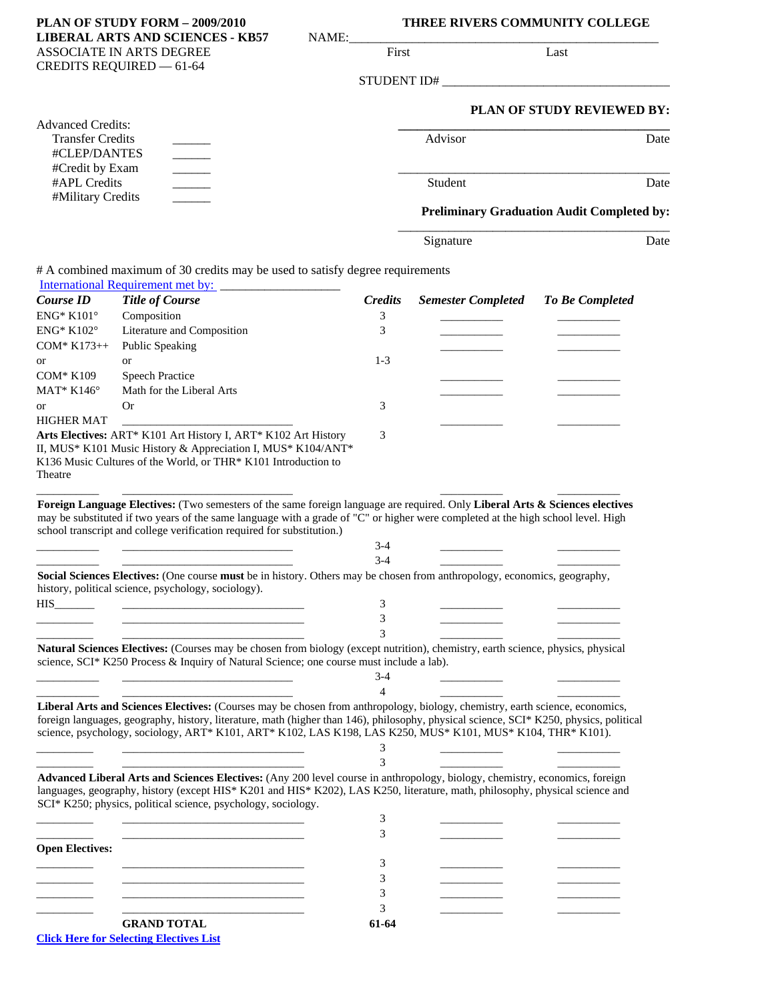| PLAN OF STUDY FORM - 2009/2010<br><b>LIBERAL ARTS AND SCIENCES - KB57</b><br>NAME:<br>ASSOCIATE IN ARTS DEGREE<br><b>CREDITS REQUIRED - 61-64</b>                                   |                                                                                                                                                                                                                                                                                                                                                                                       |  | THREE RIVERS COMMUNITY COLLEGE |                                                   |                            |      |
|-------------------------------------------------------------------------------------------------------------------------------------------------------------------------------------|---------------------------------------------------------------------------------------------------------------------------------------------------------------------------------------------------------------------------------------------------------------------------------------------------------------------------------------------------------------------------------------|--|--------------------------------|---------------------------------------------------|----------------------------|------|
|                                                                                                                                                                                     |                                                                                                                                                                                                                                                                                                                                                                                       |  | First                          |                                                   | Last                       |      |
|                                                                                                                                                                                     |                                                                                                                                                                                                                                                                                                                                                                                       |  | STUDENT ID#                    |                                                   |                            |      |
|                                                                                                                                                                                     |                                                                                                                                                                                                                                                                                                                                                                                       |  |                                |                                                   | PLAN OF STUDY REVIEWED BY: |      |
| <b>Advanced Credits:</b><br><b>Transfer Credits</b><br>#CLEP/DANTES<br>#Credit by Exam<br>$\overline{\phantom{a}}$<br>#APL Credits<br>$\overline{\phantom{a}}$<br>#Military Credits |                                                                                                                                                                                                                                                                                                                                                                                       |  | Advisor                        |                                                   | Date                       |      |
|                                                                                                                                                                                     |                                                                                                                                                                                                                                                                                                                                                                                       |  | Student                        |                                                   | Date                       |      |
|                                                                                                                                                                                     |                                                                                                                                                                                                                                                                                                                                                                                       |  |                                | <b>Preliminary Graduation Audit Completed by:</b> |                            |      |
|                                                                                                                                                                                     |                                                                                                                                                                                                                                                                                                                                                                                       |  |                                | Signature                                         |                            | Date |
|                                                                                                                                                                                     | # A combined maximum of 30 credits may be used to satisfy degree requirements<br><b>International Requirement met by:</b>                                                                                                                                                                                                                                                             |  |                                |                                                   |                            |      |
| Course ID<br><b>ENG* K101°</b>                                                                                                                                                      | <b>Title of Course</b><br>Composition                                                                                                                                                                                                                                                                                                                                                 |  | <b>Credits</b>                 | <b>Semester Completed</b>                         | <b>To Be Completed</b>     |      |
| <b>ENG* K102°</b>                                                                                                                                                                   | Literature and Composition                                                                                                                                                                                                                                                                                                                                                            |  | 3<br>3                         |                                                   |                            |      |
| $COM* K173++$<br>or                                                                                                                                                                 | <b>Public Speaking</b><br><b>or</b>                                                                                                                                                                                                                                                                                                                                                   |  | $1 - 3$                        |                                                   |                            |      |
| <b>COM* K109</b>                                                                                                                                                                    | <b>Speech Practice</b>                                                                                                                                                                                                                                                                                                                                                                |  |                                |                                                   |                            |      |
| MAT* $K146^\circ$                                                                                                                                                                   | Math for the Liberal Arts                                                                                                                                                                                                                                                                                                                                                             |  |                                |                                                   |                            |      |
| or<br><b>HIGHER MAT</b>                                                                                                                                                             | 0r                                                                                                                                                                                                                                                                                                                                                                                    |  | 3                              |                                                   |                            |      |
| Theatre                                                                                                                                                                             | Arts Electives: ART* K101 Art History I, ART* K102 Art History<br>II, MUS* K101 Music History & Appreciation I, MUS* K104/ANT*<br>K136 Music Cultures of the World, or THR* K101 Introduction to                                                                                                                                                                                      |  | 3                              |                                                   |                            |      |
|                                                                                                                                                                                     | Foreign Language Electives: (Two semesters of the same foreign language are required. Only Liberal Arts & Sciences electives<br>may be substituted if two years of the same language with a grade of "C" or higher were completed at the high school level. High<br>school transcript and college verification required for substitution.)                                            |  |                                |                                                   |                            |      |
|                                                                                                                                                                                     |                                                                                                                                                                                                                                                                                                                                                                                       |  | $3-4$                          |                                                   |                            |      |
|                                                                                                                                                                                     |                                                                                                                                                                                                                                                                                                                                                                                       |  | $3-4$                          |                                                   |                            |      |
|                                                                                                                                                                                     | Social Sciences Electives: (One course must be in history. Others may be chosen from anthropology, economics, geography,<br>history, political science, psychology, sociology).                                                                                                                                                                                                       |  |                                |                                                   |                            |      |
| HIS FOR THE STREET                                                                                                                                                                  |                                                                                                                                                                                                                                                                                                                                                                                       |  | 3                              |                                                   |                            |      |
|                                                                                                                                                                                     |                                                                                                                                                                                                                                                                                                                                                                                       |  | 3<br>3                         |                                                   |                            |      |
|                                                                                                                                                                                     | Natural Sciences Electives: (Courses may be chosen from biology (except nutrition), chemistry, earth science, physics, physical<br>science, SCI* K250 Process & Inquiry of Natural Science; one course must include a lab).                                                                                                                                                           |  |                                |                                                   |                            |      |
|                                                                                                                                                                                     |                                                                                                                                                                                                                                                                                                                                                                                       |  | 3-4<br>$\overline{4}$          |                                                   |                            |      |
|                                                                                                                                                                                     | Liberal Arts and Sciences Electives: (Courses may be chosen from anthropology, biology, chemistry, earth science, economics,<br>foreign languages, geography, history, literature, math (higher than 146), philosophy, physical science, SCI* K250, physics, political<br>science, psychology, sociology, ART* K101, ART* K102, LAS K198, LAS K250, MUS* K101, MUS* K104, THR* K101). |  | 3<br>3                         |                                                   |                            |      |
|                                                                                                                                                                                     | Advanced Liberal Arts and Sciences Electives: (Any 200 level course in anthropology, biology, chemistry, economics, foreign<br>languages, geography, history (except HIS* K201 and HIS* K202), LAS K250, literature, math, philosophy, physical science and<br>SCI* K250; physics, political science, psychology, sociology.                                                          |  |                                |                                                   |                            |      |
|                                                                                                                                                                                     |                                                                                                                                                                                                                                                                                                                                                                                       |  | 3                              |                                                   |                            |      |
|                                                                                                                                                                                     |                                                                                                                                                                                                                                                                                                                                                                                       |  | 3                              |                                                   |                            |      |
| <b>Open Electives:</b>                                                                                                                                                              |                                                                                                                                                                                                                                                                                                                                                                                       |  |                                |                                                   |                            |      |
|                                                                                                                                                                                     |                                                                                                                                                                                                                                                                                                                                                                                       |  | 3                              |                                                   |                            |      |
|                                                                                                                                                                                     |                                                                                                                                                                                                                                                                                                                                                                                       |  | 3<br>3                         |                                                   |                            |      |
|                                                                                                                                                                                     | the control of the control of the control of the control of                                                                                                                                                                                                                                                                                                                           |  | 3                              |                                                   |                            |      |
|                                                                                                                                                                                     | <b>GRAND TOTAL</b>                                                                                                                                                                                                                                                                                                                                                                    |  | 61-64                          |                                                   |                            |      |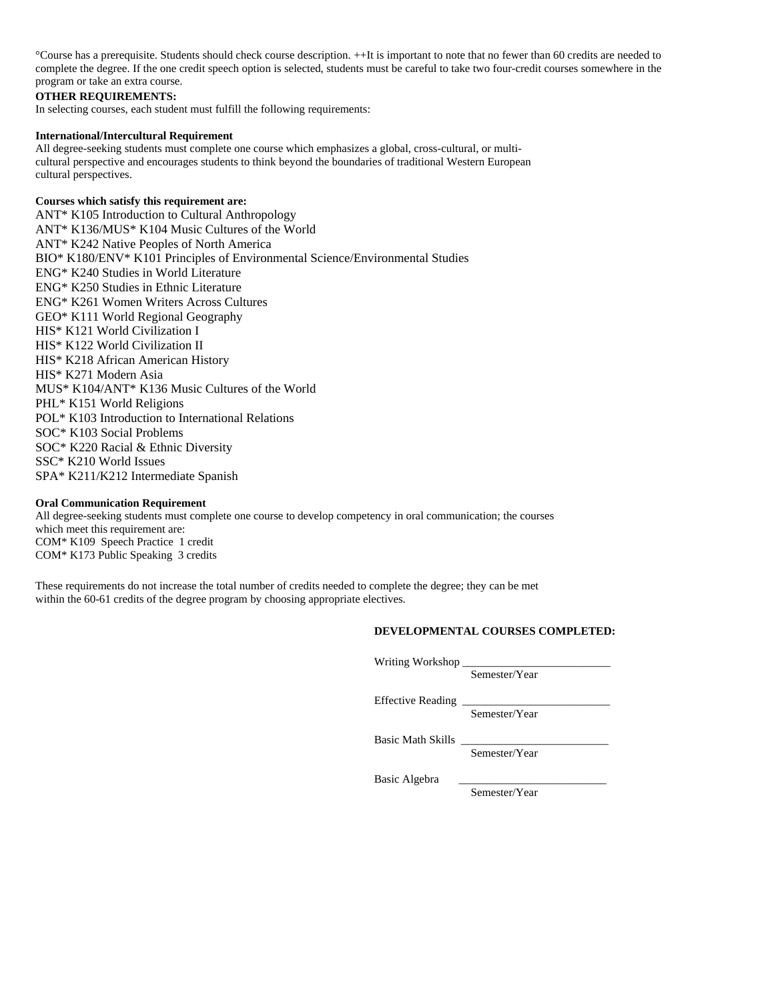°Course has a prerequisite. Students should check course description. ++It is important to note that no fewer than 60 credits are needed to complete the degree. If the one credit speech option is selected, students must be careful to take two four-credit courses somewhere in the program or take an extra course.

## **OTHER REQUIREMENTS:**

In selecting courses, each student must fulfill the following requirements:

### **International/Intercultural Requirement**

All degree-seeking students must complete one course which emphasizes a global, cross-cultural, or multicultural perspective and encourages students to think beyond the boundaries of traditional Western European cultural perspectives.

## **Courses which satisfy this requirement are:**

ANT\* K105 Introduction to Cultural Anthropology ANT\* K136/MUS\* K104 Music Cultures of the World ANT\* K242 Native Peoples of North America BIO\* K180/ENV\* K101 Principles of Environmental Science/Environmental Studies ENG\* K240 Studies in World Literature ENG\* K250 Studies in Ethnic Literature ENG\* K261 Women Writers Across Cultures GEO\* K111 World Regional Geography HIS\* K121 World Civilization I HIS\* K122 World Civilization II HIS\* K218 African American History HIS\* K271 Modern Asia MUS\* K104/ANT\* K136 Music Cultures of the World PHL\* K151 World Religions POL\* K103 Introduction to International Relations SOC\* K103 Social Problems SOC\* K220 Racial & Ethnic Diversity SSC\* K210 World Issues SPA\* K211/K212 Intermediate Spanish

### **Oral Communication Requirement**

All degree-seeking students must complete one course to develop competency in oral communication; the courses which meet this requirement are: COM\* K109 Speech Practice 1 credit COM\* K173 Public Speaking 3 credits

These requirements do not increase the total number of credits needed to complete the degree; they can be met within the 60-61 credits of the degree program by choosing appropriate electives.

### **DEVELOPMENTAL COURSES COMPLETED:**

Writing Workshop \_

Semester/Year

Effective Reading \_

Semester/Year

Basic Math Skills \_

Semester/Year

Basic Algebra

Semester/Year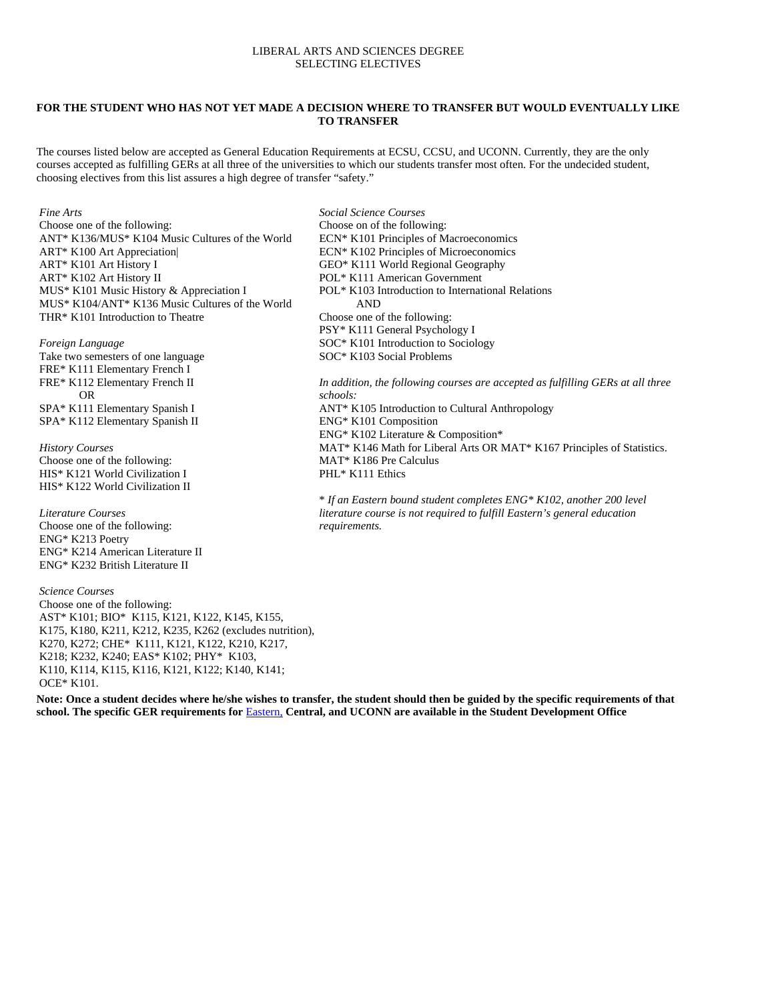### LIBERAL ARTS AND SCIENCES DEGREE SELECTING ELECTIVES

### **FOR THE STUDENT WHO HAS NOT YET MADE A DECISION WHERE TO TRANSFER BUT WOULD EVENTUALLY LIKE TO TRANSFER**

The courses listed below are accepted as General Education Requirements at ECSU, CCSU, and UCONN. Currently, they are the only courses accepted as fulfilling GERs at all three of the universities to which our students transfer most often. For the undecided student, choosing electives from this list assures a high degree of transfer "safety."

#### *Fine Arts*

Choose one of the following: ANT\* K136/MUS\* K104 Music Cultures of the World ART\* K100 Art Appreciation| ART\* K101 Art History I ART\* K102 Art History II MUS\* K101 Music History & Appreciation I MUS\* K104/ANT\* K136 Music Cultures of the World THR\* K101 Introduction to Theatre

#### *Foreign Language*

Take two semesters of one language FRE\* K111 Elementary French I FRE\* K112 Elementary French II OR SPA\* K111 Elementary Spanish I SPA\* K112 Elementary Spanish II

*History Courses* Choose one of the following: HIS\* K121 World Civilization I HIS\* K122 World Civilization II

*Literature Courses* Choose one of the following: ENG\* K213 Poetry ENG\* K214 American Literature II ENG\* K232 British Literature II

*Science Courses* Choose one of the following: AST\* K101; BIO\* K115, K121, K122, K145, K155, K175, K180, K211, K212, K235, K262 (excludes nutrition), K270, K272; CHE\* K111, K121, K122, K210, K217, K218; K232, K240; EAS\* K102; PHY\* K103, K110, K114, K115, K116, K121, K122; K140, K141; OCE\* K101.

**Note: Once a student decides where he/she wishes to transfer, the student should then be guided by the specific requirements of that school. The specific GER requirements for** Eastern, **Central, and UCONN are available in the Student Development Office** 

*Social Science Courses* Choose on of the following: ECN\* K101 Principles of Macroeconomics ECN\* K102 Principles of Microeconomics GEO\* K111 World Regional Geography POL\* K111 American Government POL\* K103 Introduction to International Relations AND Choose one of the following: PSY\* K111 General Psychology I SOC\* K101 Introduction to Sociology SOC\* K103 Social Problems

*In addition, the following courses are accepted as fulfilling GERs at all three schools:* ANT\* K105 Introduction to Cultural Anthropology ENG\* K101 Composition ENG\* K102 Literature & Composition\*

MAT\* K146 Math for Liberal Arts OR MAT\* K167 Principles of Statistics. MAT\* K186 Pre Calculus PHL\* K111 Ethics

\* *If an Eastern bound student completes ENG\* K102, another 200 level literature course is not required to fulfill Eastern's general education requirements.*